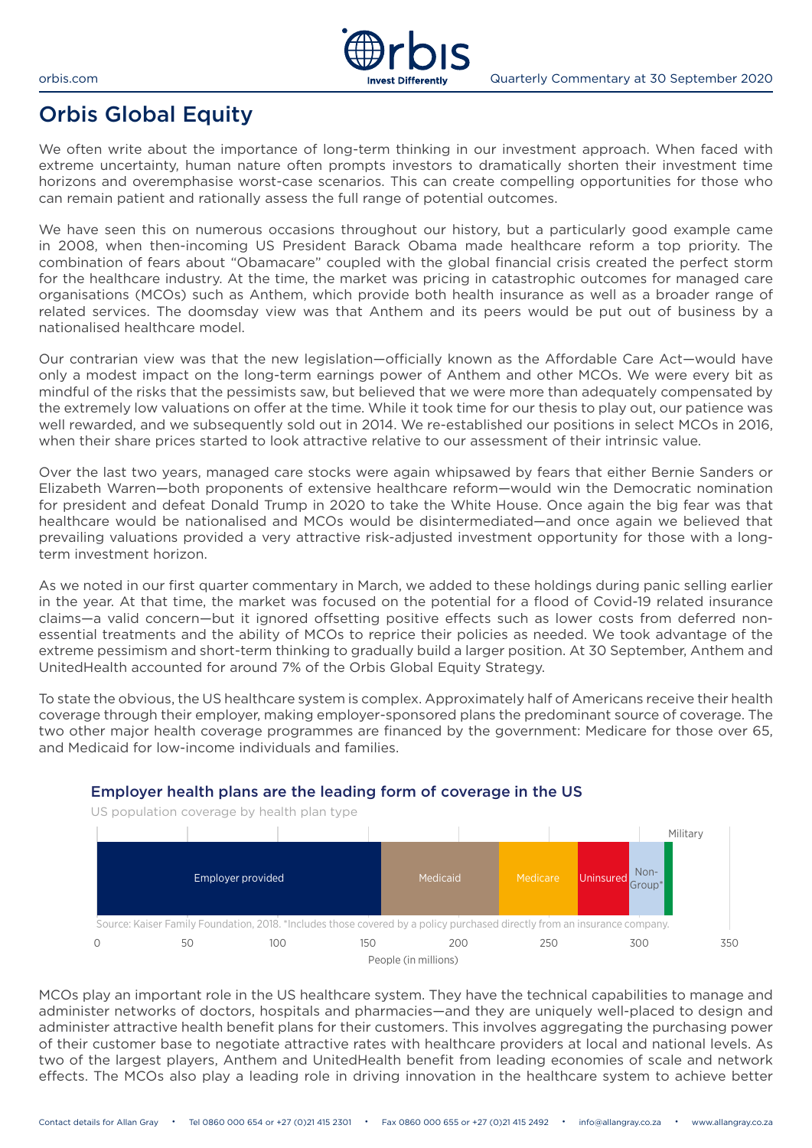

## Orbis Global Equity

We often write about the importance of long-term thinking in our investment approach. When faced with extreme uncertainty, human nature often prompts investors to dramatically shorten their investment time horizons and overemphasise worst-case scenarios. This can create compelling opportunities for those who can remain patient and rationally assess the full range of potential outcomes.

We have seen this on numerous occasions throughout our history, but a particularly good example came in 2008, when then-incoming US President Barack Obama made healthcare reform a top priority. The combination of fears about "Obamacare" coupled with the global financial crisis created the perfect storm for the healthcare industry. At the time, the market was pricing in catastrophic outcomes for managed care organisations (MCOs) such as Anthem, which provide both health insurance as well as a broader range of related services. The doomsday view was that Anthem and its peers would be put out of business by a nationalised healthcare model.

Our contrarian view was that the new legislation—officially known as the Affordable Care Act—would have only a modest impact on the long-term earnings power of Anthem and other MCOs. We were every bit as mindful of the risks that the pessimists saw, but believed that we were more than adequately compensated by the extremely low valuations on offer at the time. While it took time for our thesis to play out, our patience was well rewarded, and we subsequently sold out in 2014. We re-established our positions in select MCOs in 2016, when their share prices started to look attractive relative to our assessment of their intrinsic value.

Over the last two years, managed care stocks were again whipsawed by fears that either Bernie Sanders or Elizabeth Warren—both proponents of extensive healthcare reform—would win the Democratic nomination for president and defeat Donald Trump in 2020 to take the White House. Once again the big fear was that healthcare would be nationalised and MCOs would be disintermediated—and once again we believed that prevailing valuations provided a very attractive risk-adjusted investment opportunity for those with a longterm investment horizon.

As we noted in our first quarter commentary in March, we added to these holdings during panic selling earlier in the year. At that time, the market was focused on the potential for a flood of Covid-19 related insurance claims—a valid concern—but it ignored offsetting positive effects such as lower costs from deferred nonessential treatments and the ability of MCOs to reprice their policies as needed. We took advantage of the extreme pessimism and short-term thinking to gradually build a larger position. At 30 September, Anthem and UnitedHealth accounted for around 7% of the Orbis Global Equity Strategy.

To state the obvious, the US healthcare system is complex. Approximately half of Americans receive their health coverage through their employer, making employer-sponsored plans the predominant source of coverage. The two other major health coverage programmes are financed by the government: Medicare for those over 65, and Medicaid for low-income individuals and families.



## Employer health plans are the leading form of coverage in the US

MCOs play an important role in the US healthcare system. They have the technical capabilities to manage and administer networks of doctors, hospitals and pharmacies—and they are uniquely well-placed to design and administer attractive health benefit plans for their customers. This involves aggregating the purchasing power of their customer base to negotiate attractive rates with healthcare providers at local and national levels. As two of the largest players, Anthem and UnitedHealth benefit from leading economies of scale and network effects. The MCOs also play a leading role in driving innovation in the healthcare system to achieve better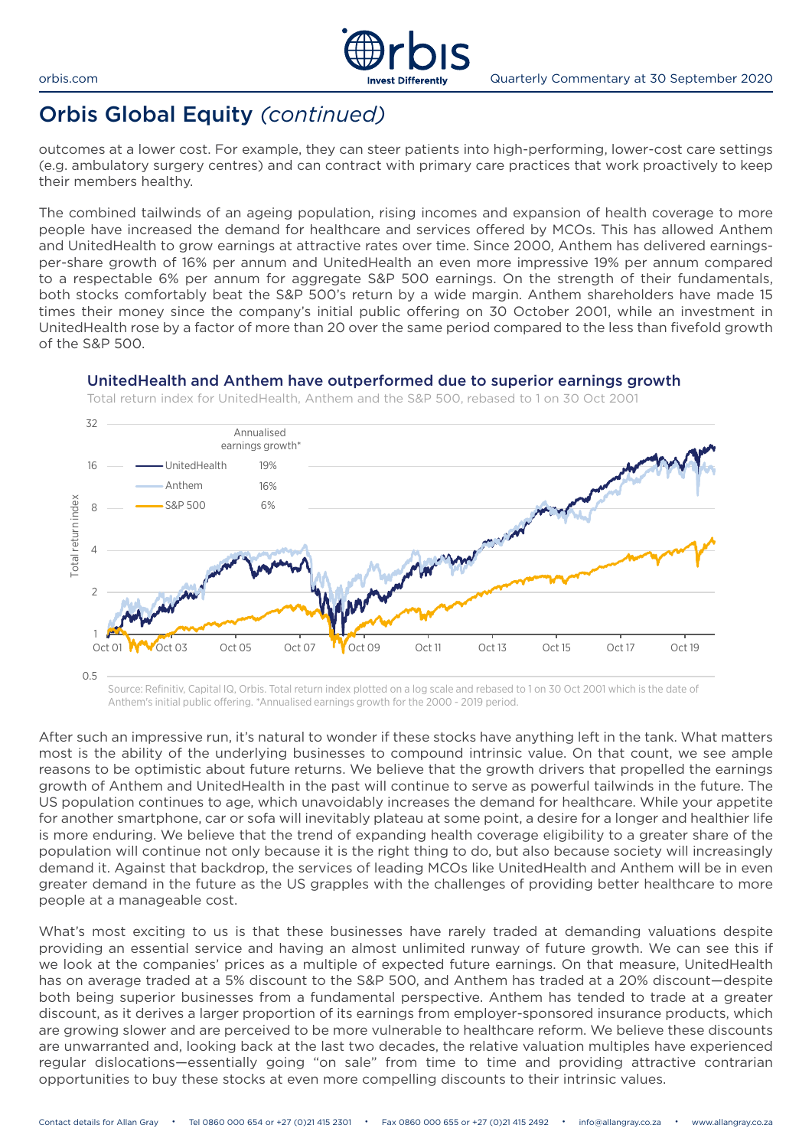

# Orbis Global Equity *(continued)*

outcomes at a lower cost. For example, they can steer patients into high-performing, lower-cost care settings (e.g. ambulatory surgery centres) and can contract with primary care practices that work proactively to keep their members healthy.

The combined tailwinds of an ageing population, rising incomes and expansion of health coverage to more people have increased the demand for healthcare and services offered by MCOs. This has allowed Anthem and UnitedHealth to grow earnings at attractive rates over time. Since 2000, Anthem has delivered earningsper-share growth of 16% per annum and UnitedHealth an even more impressive 19% per annum compared to a respectable 6% per annum for aggregate S&P 500 earnings. On the strength of their fundamentals, both stocks comfortably beat the S&P 500's return by a wide margin. Anthem shareholders have made 15 times their money since the company's initial public offering on 30 October 2001, while an investment in UnitedHealth rose by a factor of more than 20 over the same period compared to the less than fivefold growth of the S&P 500.



UnitedHealth and Anthem have outperformed due to superior earnings growth

Source: Refinitiv, Capital IQ, Orbis. Total return index plotted on a log scale and rebased to 1 on 30 Oct 2001 which is the date of Anthem's initial public offering. \*Annualised earnings growth for the 2000 - 2019 period.

After such an impressive run, it's natural to wonder if these stocks have anything left in the tank. What matters most is the ability of the underlying businesses to compound intrinsic value. On that count, we see ample reasons to be optimistic about future returns. We believe that the growth drivers that propelled the earnings growth of Anthem and UnitedHealth in the past will continue to serve as powerful tailwinds in the future. The US population continues to age, which unavoidably increases the demand for healthcare. While your appetite for another smartphone, car or sofa will inevitably plateau at some point, a desire for a longer and healthier life is more enduring. We believe that the trend of expanding health coverage eligibility to a greater share of the population will continue not only because it is the right thing to do, but also because society will increasingly demand it. Against that backdrop, the services of leading MCOs like UnitedHealth and Anthem will be in even greater demand in the future as the US grapples with the challenges of providing better healthcare to more people at a manageable cost.

What's most exciting to us is that these businesses have rarely traded at demanding valuations despite providing an essential service and having an almost unlimited runway of future growth. We can see this if we look at the companies' prices as a multiple of expected future earnings. On that measure, UnitedHealth has on average traded at a 5% discount to the S&P 500, and Anthem has traded at a 20% discount—despite both being superior businesses from a fundamental perspective. Anthem has tended to trade at a greater discount, as it derives a larger proportion of its earnings from employer-sponsored insurance products, which are growing slower and are perceived to be more vulnerable to healthcare reform. We believe these discounts are unwarranted and, looking back at the last two decades, the relative valuation multiples have experienced regular dislocations—essentially going "on sale" from time to time and providing attractive contrarian opportunities to buy these stocks at even more compelling discounts to their intrinsic values.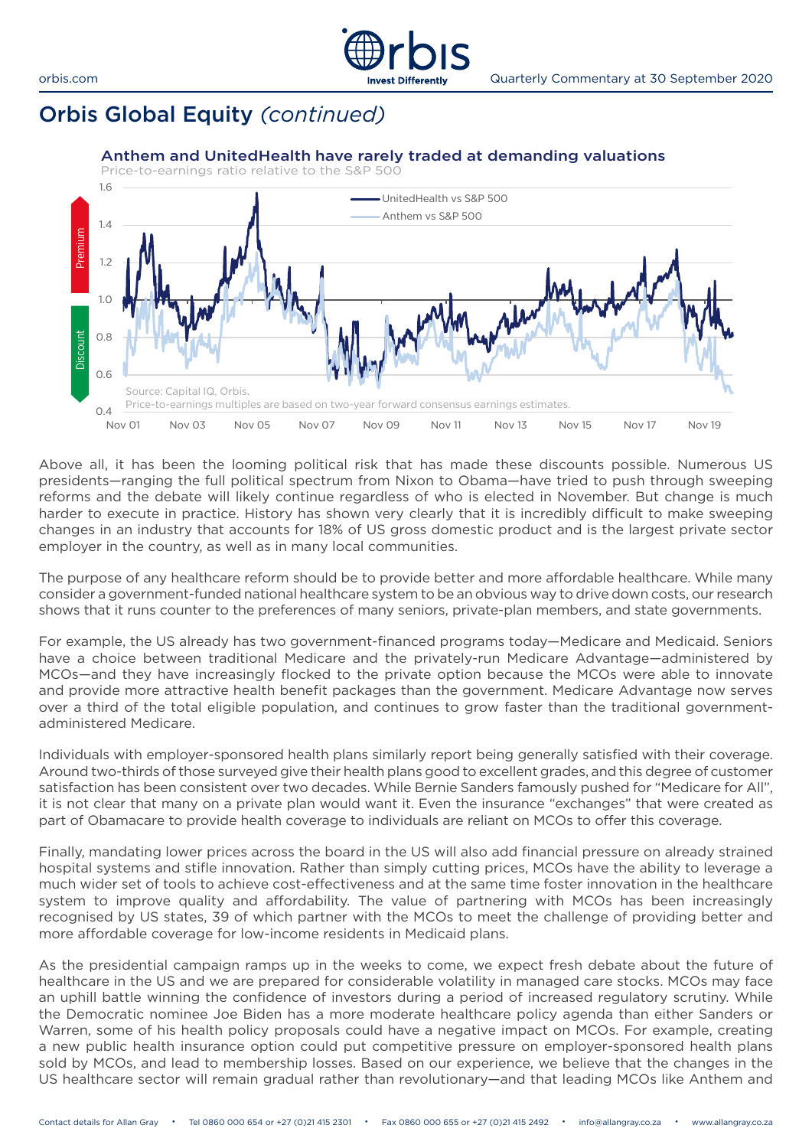

## Orbis Global Equity *(continued)*



Above all, it has been the looming political risk that has made these discounts possible. Numerous US presidents—ranging the full political spectrum from Nixon to Obama—have tried to push through sweeping reforms and the debate will likely continue regardless of who is elected in November. But change is much harder to execute in practice. History has shown very clearly that it is incredibly difficult to make sweeping changes in an industry that accounts for 18% of US gross domestic product and is the largest private sector employer in the country, as well as in many local communities.

The purpose of any healthcare reform should be to provide better and more affordable healthcare. While many consider a government-funded national healthcare system to be an obvious way to drive down costs, our research shows that it runs counter to the preferences of many seniors, private-plan members, and state governments.

For example, the US already has two government-financed programs today—Medicare and Medicaid. Seniors have a choice between traditional Medicare and the privately-run Medicare Advantage—administered by MCOs—and they have increasingly flocked to the private option because the MCOs were able to innovate and provide more attractive health benefit packages than the government. Medicare Advantage now serves over a third of the total eligible population, and continues to grow faster than the traditional governmentadministered Medicare.

Individuals with employer-sponsored health plans similarly report being generally satisfied with their coverage. Around two-thirds of those surveyed give their health plans good to excellent grades, and this degree of customer satisfaction has been consistent over two decades. While Bernie Sanders famously pushed for "Medicare for All", it is not clear that many on a private plan would want it. Even the insurance "exchanges" that were created as part of Obamacare to provide health coverage to individuals are reliant on MCOs to offer this coverage.

Finally, mandating lower prices across the board in the US will also add financial pressure on already strained hospital systems and stifle innovation. Rather than simply cutting prices, MCOs have the ability to leverage a much wider set of tools to achieve cost-effectiveness and at the same time foster innovation in the healthcare system to improve quality and affordability. The value of partnering with MCOs has been increasingly recognised by US states, 39 of which partner with the MCOs to meet the challenge of providing better and more affordable coverage for low-income residents in Medicaid plans.

As the presidential campaign ramps up in the weeks to come, we expect fresh debate about the future of healthcare in the US and we are prepared for considerable volatility in managed care stocks. MCOs may face an uphill battle winning the confidence of investors during a period of increased regulatory scrutiny. While the Democratic nominee Joe Biden has a more moderate healthcare policy agenda than either Sanders or Warren, some of his health policy proposals could have a negative impact on MCOs. For example, creating a new public health insurance option could put competitive pressure on employer-sponsored health plans sold by MCOs, and lead to membership losses. Based on our experience, we believe that the changes in the US healthcare sector will remain gradual rather than revolutionary—and that leading MCOs like Anthem and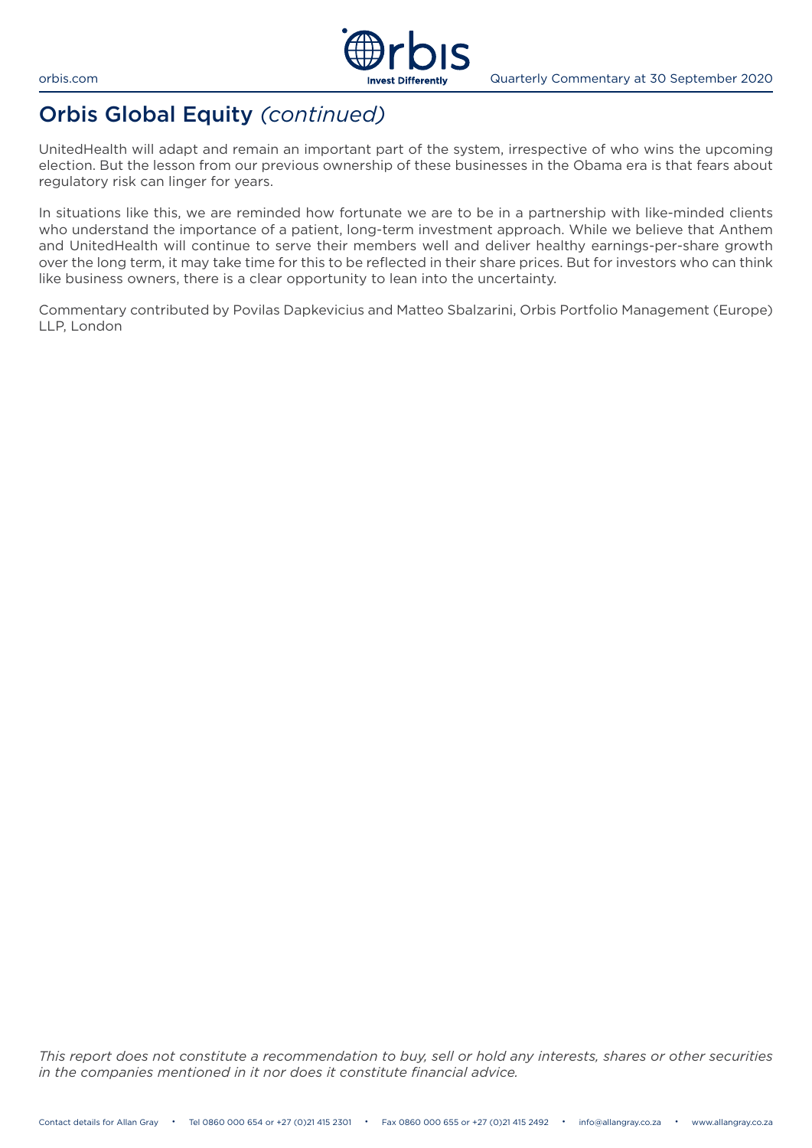

# Orbis Global Equity *(continued)*

UnitedHealth will adapt and remain an important part of the system, irrespective of who wins the upcoming election. But the lesson from our previous ownership of these businesses in the Obama era is that fears about regulatory risk can linger for years.

In situations like this, we are reminded how fortunate we are to be in a partnership with like-minded clients who understand the importance of a patient, long-term investment approach. While we believe that Anthem and UnitedHealth will continue to serve their members well and deliver healthy earnings-per-share growth over the long term, it may take time for this to be reflected in their share prices. But for investors who can think like business owners, there is a clear opportunity to lean into the uncertainty.

Commentary contributed by Povilas Dapkevicius and Matteo Sbalzarini, Orbis Portfolio Management (Europe) LLP, London

*This report does not constitute a recommendation to buy, sell or hold any interests, shares or other securities in the companies mentioned in it nor does it constitute financial advice.*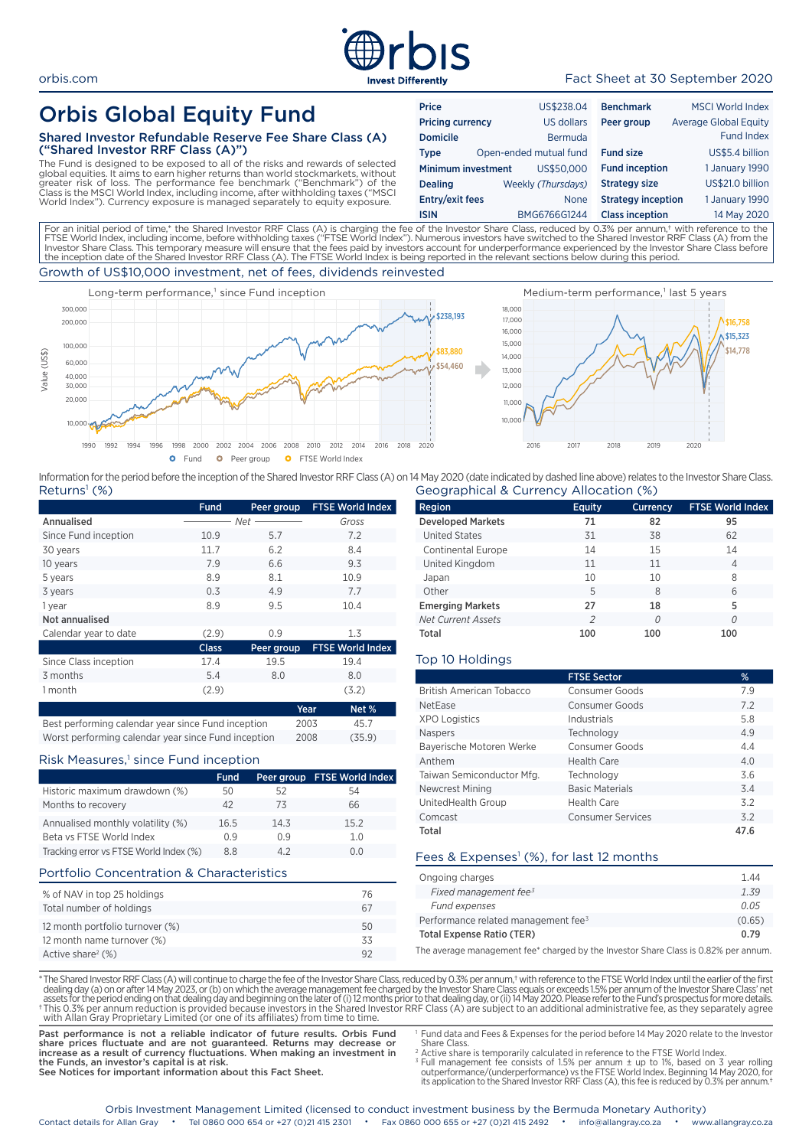

#### Fact Sheet at 30 September 2020

\$16,758 \$15,323 \$14,778

## Orbis Global Equity Fund

#### Shared Investor Refundable Reserve Fee Share Class (A) ("Shared Investor RRF Class (A)")

The Fund is designed to be exposed to all of the risks and rewards of selected global equities. It aims to earn higher returns than world stockmarkets, without greater risk of loss. The performance fee benchmark ("Benchmark") of the<br>Class is the MSCI World Index, including income, after withholding taxes ("MSCI<br>World Index"). Currency exposure is managed separately to equity expo

| Price                     |                        | US\$238.04         | <b>Benchmark</b>          | <b>MSCI World Index</b>      |
|---------------------------|------------------------|--------------------|---------------------------|------------------------------|
| <b>Pricing currency</b>   |                        | <b>US dollars</b>  | Peer group                | <b>Average Global Equity</b> |
| <b>Domicile</b>           |                        | Bermuda            |                           | <b>Fund Index</b>            |
| Type                      | Open-ended mutual fund |                    | <b>Fund size</b>          | US\$5.4 billion              |
| <b>Minimum investment</b> |                        | US\$50,000         | <b>Fund inception</b>     | 1 January 1990               |
| <b>Dealing</b>            |                        | Weekly (Thursdays) | <b>Strategy size</b>      | US\$21.0 billion             |
| Entry/exit fees           |                        | <b>None</b>        | <b>Strategy inception</b> | 1 January 1990               |
| ISIN                      |                        | BMG6766G1244       | <b>Class inception</b>    | 14 May 2020                  |

For an initial period of time,\* the Shared Investor RRF Class (A) is charging the fee of the Investor Share Class, reduced by 0.3% per annum,\* with reference to the<br>FTSE World Index, including income, before withholding ta





Information for the period before the inception of the Shared Investor RRF Class (A) on 14 May 2020 (date indicated by dashed line above) relates to the Investor Share Class. Returns<sup>1</sup> (%) Geographical & Currency Allocation (%)

|                                                     | <b>Fund</b>  | Peer group     | <b>FTSE World Index</b> |
|-----------------------------------------------------|--------------|----------------|-------------------------|
| Annualised                                          | Net          |                | Gross                   |
| Since Fund inception                                | 10.9         | 5.7            | 7.2                     |
| 30 years                                            | 11.7         | 6.2            | 8.4                     |
| 10 years                                            | 7.9          | 6.6            | 9.3                     |
| 5 years                                             | 8.9          | 8.1            | 10.9                    |
| 3 years                                             | 0.3          | 4.9            | 7.7                     |
| 1 year                                              | 8.9          | 9.5            | 10.4                    |
| Not annualised                                      |              |                |                         |
| Calendar year to date                               | (2.9)        | 0.9            | 1.3                     |
|                                                     | <b>Class</b> | Peer group     | <b>FTSE World Index</b> |
| Since Class inception                               | 17.4         | 19.5           | 19.4                    |
| 3 months                                            | 5.4          | 8.0            | 8.0                     |
| 1 month                                             | (2.9)        |                | (3.2)                   |
|                                                     |              |                | Year<br>Net %           |
| Best performing calendar year since Fund inception  |              | 45.7<br>2003   |                         |
| Worst performing calendar year since Fund inception |              | (35.9)<br>2008 |                         |

### Risk Measures,<sup>1</sup> since Fund inception

|                                        | <b>Fund</b> |      | Peer group FTSE World Index |
|----------------------------------------|-------------|------|-----------------------------|
| Historic maximum drawdown (%)          | 50          | 52   | 54                          |
| Months to recovery                     | 42          | 73   | 66                          |
| Annualised monthly volatility (%)      | 16.5        | 14.3 | 15.2                        |
| Beta vs FTSE World Index               | 0.9         | 0 Q  | 1.0                         |
| Tracking error vs FTSE World Index (%) | 8.8         | 42   | 0.0                         |

### Portfolio Concentration & Characteristics

| % of NAV in top 25 holdings      | 76             |
|----------------------------------|----------------|
| Total number of holdings         | 67             |
| 12 month portfolio turnover (%)  | 50             |
| 12 month name turnover (%)       | 33             |
| Active share <sup>2</sup> $(\%)$ | Q <sub>2</sub> |

| <b>Region</b>             | <b>Equity</b> | Currency | <b>FTSE World Index</b> |
|---------------------------|---------------|----------|-------------------------|
| <b>Developed Markets</b>  | 71            | 82       | 95                      |
| <b>United States</b>      | 31            | 38       | 62                      |
| <b>Continental Europe</b> | 14            | 15       | 14                      |
| United Kingdom            | 11            | 11       | $\overline{4}$          |
| Japan                     | 10            | 10       | 8                       |
| Other                     | 5             | 8        | 6                       |
| <b>Emerging Markets</b>   | 27            | 18       | 5                       |
| <b>Net Current Assets</b> | 2             | $\Omega$ | 0                       |
| Total                     | 100           | 100      | 100                     |

#### Top 10 Holdings

|                           | <b>FTSE Sector</b>       | %    |
|---------------------------|--------------------------|------|
| British American Tobacco  | Consumer Goods           | 7.9  |
| NetEase                   | Consumer Goods           | 7.2  |
| <b>XPO Logistics</b>      | Industrials              | 5.8  |
| <b>Naspers</b>            | Technology               | 4.9  |
| Bayerische Motoren Werke  | Consumer Goods           | 4.4  |
| Anthem                    | Health Care              | 4.0  |
| Taiwan Semiconductor Mfg. | Technology               | 3.6  |
| <b>Newcrest Mining</b>    | <b>Basic Materials</b>   | 3.4  |
| UnitedHealth Group        | <b>Health Care</b>       | 3.2  |
| Comcast                   | <b>Consumer Services</b> | 3.2  |
| Total                     |                          | 47.6 |

### Fees & Expenses<sup>1</sup> (%), for last 12 months

| Ongoing charges                                 | 1.44   |
|-------------------------------------------------|--------|
| Fixed management fee <sup>3</sup>               | 1.39   |
| <b>Fund expenses</b>                            | 0.05   |
| Performance related management fee <sup>3</sup> | (0.65) |
| <b>Total Expense Ratio (TER)</b>                | 0.79   |

The average management fee\* charged by the Investor Share Class is 0.82% per annum.

\*The Shared Investor RRF Class (A) will continue to charge the fee of the Investor Share Class, reduced by 0.3% per annum,† with reference to the FTSE World Index until the earlier of the first dealing day (a) on or after 14 May 2023, or (b) on which the average management fee charged by the Investor Share Class equals or exceeds 1.5% per annum of the Investor Share Class' net<br>assets for the period ending on that

Past performance is not a reliable indicator of future results. Orbis Fund share prices fluctuate and are not guaranteed. Returns may decrease or increase as a result of currency fluctuations. When making an investment in the Funds, an investor's capital is at risk. See Notices for important information about this Fact Sheet.

<sup>1</sup> Fund data and Fees & Expenses for the period before 14 May 2020 relate to the Investor Share Class. <sup>2</sup> Active share is temporarily calculated in reference to the FTSE World Index.

<sup>3</sup> Full management fee consists of 1.5% per annum ± up to 1%, based on 3 year rolling<br>outperformance/(underperformance) vs the FTSE World Index. Beginning 14 May 2020, for<br>its application to the Shared Investor RRF Class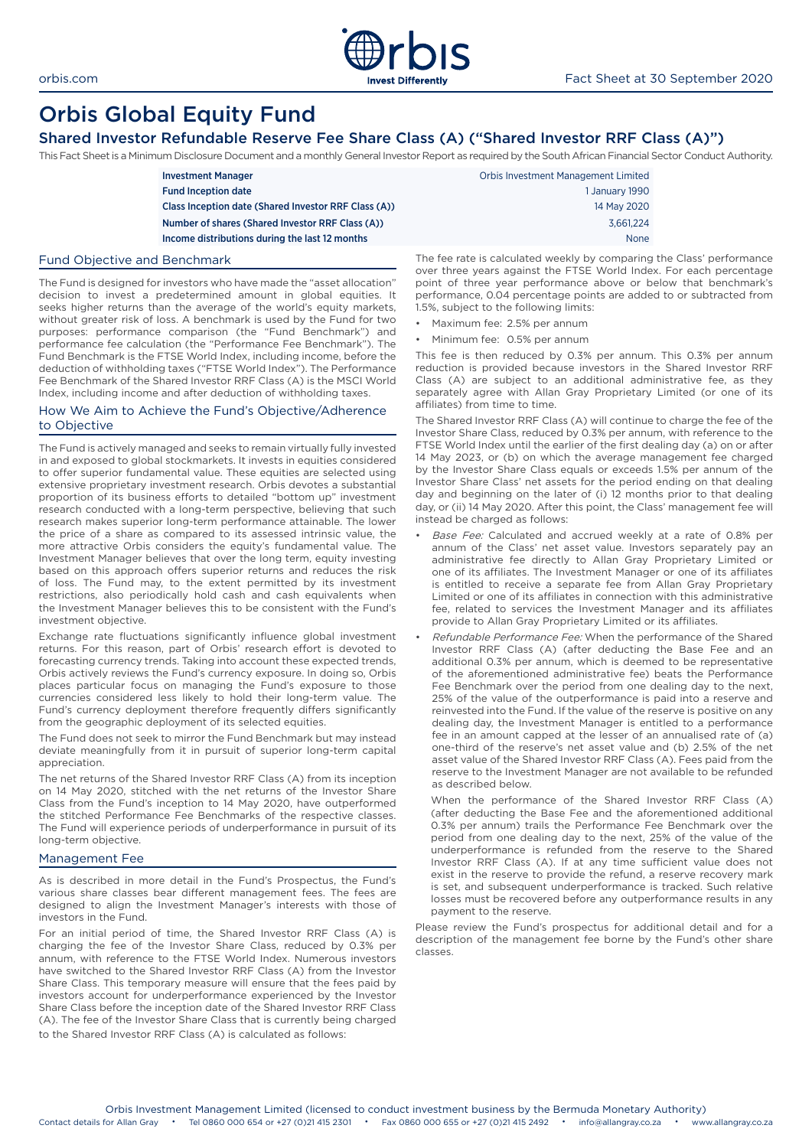

# Orbis Global Equity Fund

### Shared Investor Refundable Reserve Fee Share Class (A) ("Shared Investor RRF Class (A)")

This Fact Sheet is a Minimum Disclosure Document and a monthly General Investor Report as required by the South African Financial Sector Conduct Authority.

| <b>Investment Manager</b>                            | Orbis Investment Management Limited |
|------------------------------------------------------|-------------------------------------|
| <b>Fund Inception date</b>                           | 1 January 1990                      |
| Class Inception date (Shared Investor RRF Class (A)) | 14 May 2020                         |
| Number of shares (Shared Investor RRF Class (A))     | 3.661.224                           |
| Income distributions during the last 12 months       | None                                |

#### Fund Objective and Benchmark

The Fund is designed for investors who have made the "asset allocation" decision to invest a predetermined amount in global equities. It seeks higher returns than the average of the world's equity markets, without greater risk of loss. A benchmark is used by the Fund for two purposes: performance comparison (the "Fund Benchmark") and performance fee calculation (the "Performance Fee Benchmark"). The Fund Benchmark is the FTSE World Index, including income, before the deduction of withholding taxes ("FTSE World Index"). The Performance Fee Benchmark of the Shared Investor RRF Class (A) is the MSCI World Index, including income and after deduction of withholding taxes.

### How We Aim to Achieve the Fund's Objective/Adherence to Objective

The Fund is actively managed and seeks to remain virtually fully invested in and exposed to global stockmarkets. It invests in equities considered to offer superior fundamental value. These equities are selected using extensive proprietary investment research. Orbis devotes a substantial proportion of its business efforts to detailed "bottom up" investment research conducted with a long-term perspective, believing that such research makes superior long-term performance attainable. The lower the price of a share as compared to its assessed intrinsic value, the more attractive Orbis considers the equity's fundamental value. The Investment Manager believes that over the long term, equity investing based on this approach offers superior returns and reduces the risk of loss. The Fund may, to the extent permitted by its investment restrictions, also periodically hold cash and cash equivalents when the Investment Manager believes this to be consistent with the Fund's investment objective.

Exchange rate fluctuations significantly influence global investment returns. For this reason, part of Orbis' research effort is devoted to forecasting currency trends. Taking into account these expected trends, Orbis actively reviews the Fund's currency exposure. In doing so, Orbis places particular focus on managing the Fund's exposure to those currencies considered less likely to hold their long-term value. The Fund's currency deployment therefore frequently differs significantly from the geographic deployment of its selected equities.

The Fund does not seek to mirror the Fund Benchmark but may instead deviate meaningfully from it in pursuit of superior long-term capital appreciation.

The net returns of the Shared Investor RRF Class (A) from its inception on 14 May 2020, stitched with the net returns of the Investor Share Class from the Fund's inception to 14 May 2020, have outperformed the stitched Performance Fee Benchmarks of the respective classes. The Fund will experience periods of underperformance in pursuit of its long-term objective.

#### Management Fee

As is described in more detail in the Fund's Prospectus, the Fund's various share classes bear different management fees. The fees are designed to align the Investment Manager's interests with those of investors in the Fund.

For an initial period of time, the Shared Investor RRF Class (A) is charging the fee of the Investor Share Class, reduced by 0.3% per annum, with reference to the FTSE World Index. Numerous investors have switched to the Shared Investor RRF Class (A) from the Investor Share Class. This temporary measure will ensure that the fees paid by investors account for underperformance experienced by the Investor Share Class before the inception date of the Shared Investor RRF Class (A). The fee of the Investor Share Class that is currently being charged to the Shared Investor RRF Class (A) is calculated as follows:

| estment Management Limited |
|----------------------------|
| 1 January 1990             |
| 14 May 2020                |
| 3.661.224                  |
| None                       |

The fee rate is calculated weekly by comparing the Class' performance over three years against the FTSE World Index. For each percentage point of three year performance above or below that benchmark's performance, 0.04 percentage points are added to or subtracted from 1.5%, subject to the following limits:

- Maximum fee: 2.5% per annum
- Minimum fee: 0.5% per annum

This fee is then reduced by 0.3% per annum. This 0.3% per annum reduction is provided because investors in the Shared Investor RRF Class (A) are subject to an additional administrative fee, as they separately agree with Allan Gray Proprietary Limited (or one of its affiliates) from time to time.

The Shared Investor RRF Class (A) will continue to charge the fee of the Investor Share Class, reduced by 0.3% per annum, with reference to the FTSE World Index until the earlier of the first dealing day (a) on or after 14 May 2023, or (b) on which the average management fee charged by the Investor Share Class equals or exceeds 1.5% per annum of the Investor Share Class' net assets for the period ending on that dealing day and beginning on the later of (i) 12 months prior to that dealing day, or (ii) 14 May 2020. After this point, the Class' management fee will instead be charged as follows:

- Base Fee: Calculated and accrued weekly at a rate of 0.8% per annum of the Class' net asset value. Investors separately pay an administrative fee directly to Allan Gray Proprietary Limited or one of its affiliates. The Investment Manager or one of its affiliates is entitled to receive a separate fee from Allan Gray Proprietary Limited or one of its affiliates in connection with this administrative fee, related to services the Investment Manager and its affiliates provide to Allan Gray Proprietary Limited or its affiliates.
- Refundable Performance Fee: When the performance of the Shared Investor RRF Class (A) (after deducting the Base Fee and an additional 0.3% per annum, which is deemed to be representative of the aforementioned administrative fee) beats the Performance Fee Benchmark over the period from one dealing day to the next, 25% of the value of the outperformance is paid into a reserve and reinvested into the Fund. If the value of the reserve is positive on any dealing day, the Investment Manager is entitled to a performance fee in an amount capped at the lesser of an annualised rate of (a) one-third of the reserve's net asset value and (b) 2.5% of the net asset value of the Shared Investor RRF Class (A). Fees paid from the reserve to the Investment Manager are not available to be refunded as described below.

When the performance of the Shared Investor RRF Class (A) (after deducting the Base Fee and the aforementioned additional 0.3% per annum) trails the Performance Fee Benchmark over the period from one dealing day to the next, 25% of the value of the underperformance is refunded from the reserve to the Shared Investor RRF Class (A). If at any time sufficient value does not exist in the reserve to provide the refund, a reserve recovery mark is set, and subsequent underperformance is tracked. Such relative losses must be recovered before any outperformance results in any payment to the reserve.

Please review the Fund's prospectus for additional detail and for a description of the management fee borne by the Fund's other share classes.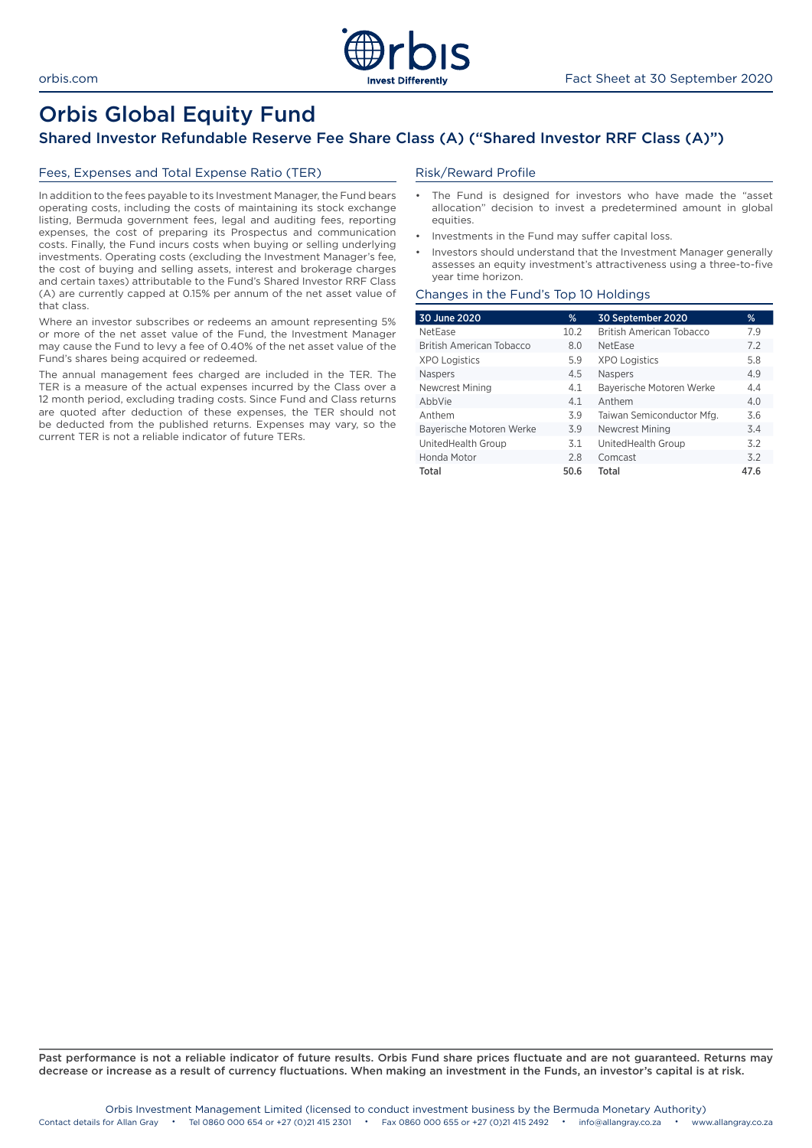

# Orbis Global Equity Fund

### Shared Investor Refundable Reserve Fee Share Class (A) ("Shared Investor RRF Class (A)")

### Fees, Expenses and Total Expense Ratio (TER)

In addition to the fees payable to its Investment Manager, the Fund bears operating costs, including the costs of maintaining its stock exchange listing, Bermuda government fees, legal and auditing fees, reporting expenses, the cost of preparing its Prospectus and communication costs. Finally, the Fund incurs costs when buying or selling underlying investments. Operating costs (excluding the Investment Manager's fee, the cost of buying and selling assets, interest and brokerage charges and certain taxes) attributable to the Fund's Shared Investor RRF Class (A) are currently capped at 0.15% per annum of the net asset value of that class.

Where an investor subscribes or redeems an amount representing 5% or more of the net asset value of the Fund, the Investment Manager may cause the Fund to levy a fee of 0.40% of the net asset value of the Fund's shares being acquired or redeemed.

The annual management fees charged are included in the TER. The TER is a measure of the actual expenses incurred by the Class over a 12 month period, excluding trading costs. Since Fund and Class returns are quoted after deduction of these expenses, the TER should not be deducted from the published returns. Expenses may vary, so the current TER is not a reliable indicator of future TERs.

### Risk/Reward Profile

- The Fund is designed for investors who have made the "asset allocation" decision to invest a predetermined amount in global equities.
- Investments in the Fund may suffer capital loss.
- Investors should understand that the Investment Manager generally assesses an equity investment's attractiveness using a three-to-five year time horizon.

### Changes in the Fund's Top 10 Holdings

| 30 June 2020             | %    | 30 September 2020         | %    |
|--------------------------|------|---------------------------|------|
| NetEase                  | 10.2 | British American Tobacco  | 7.9  |
| British American Tobacco | 8.0  | <b>NetFase</b>            | 7.2  |
| <b>XPO Logistics</b>     | 5.9  | <b>XPO Logistics</b>      | 5.8  |
| <b>Naspers</b>           | 4.5  | <b>Naspers</b>            | 4.9  |
| Newcrest Mining          | 4.1  | Bayerische Motoren Werke  | 4.4  |
| AbbVie                   | 4.1  | Anthem                    | 4.0  |
| Anthem                   | 3.9  | Taiwan Semiconductor Mfg. | 3.6  |
| Bayerische Motoren Werke | 3.9  | Newcrest Mining           | 3.4  |
| UnitedHealth Group       | 3.1  | UnitedHealth Group        | 3.2  |
| Honda Motor              | 2.8  | Comcast                   | 3.2  |
| Total                    | 50.6 | Total                     | 47.6 |

Past performance is not a reliable indicator of future results. Orbis Fund share prices fluctuate and are not guaranteed. Returns may decrease or increase as a result of currency fluctuations. When making an investment in the Funds, an investor's capital is at risk.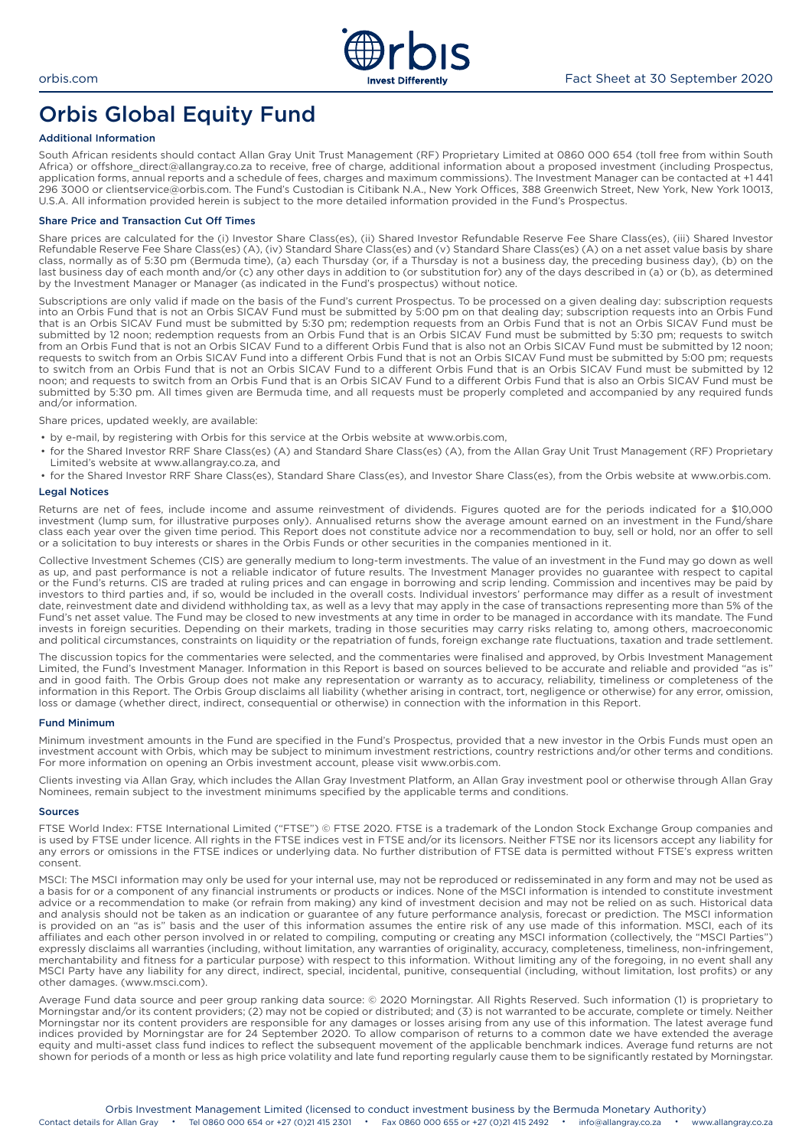

# Orbis Global Equity Fund

#### Additional Information

South African residents should contact Allan Gray Unit Trust Management (RF) Proprietary Limited at 0860 000 654 (toll free from within South Africa) or offshore\_direct@allangray.co.za to receive, free of charge, additional information about a proposed investment (including Prospectus, application forms, annual reports and a schedule of fees, charges and maximum commissions). The Investment Manager can be contacted at +1 441 296 3000 or clientservice@orbis.com. The Fund's Custodian is Citibank N.A., New York Offices, 388 Greenwich Street, New York, New York 10013, U.S.A. All information provided herein is subject to the more detailed information provided in the Fund's Prospectus.

#### Share Price and Transaction Cut Off Times

Share prices are calculated for the (i) Investor Share Class(es), (ii) Shared Investor Refundable Reserve Fee Share Class(es), (iii) Shared Investor Refundable Reserve Fee Share Class(es) (A), (iv) Standard Share Class(es) and (v) Standard Share Class(es) (A) on a net asset value basis by share class, normally as of 5:30 pm (Bermuda time), (a) each Thursday (or, if a Thursday is not a business day, the preceding business day), (b) on the last business day of each month and/or (c) any other days in addition to (or substitution for) any of the days described in (a) or (b), as determined by the Investment Manager or Manager (as indicated in the Fund's prospectus) without notice.

Subscriptions are only valid if made on the basis of the Fund's current Prospectus. To be processed on a given dealing day: subscription requests into an Orbis Fund that is not an Orbis SICAV Fund must be submitted by 5:00 pm on that dealing day; subscription requests into an Orbis Fund that is an Orbis SICAV Fund must be submitted by 5:30 pm; redemption requests from an Orbis Fund that is not an Orbis SICAV Fund must be submitted by 12 noon; redemption requests from an Orbis Fund that is an Orbis SICAV Fund must be submitted by 5:30 pm; requests to switch from an Orbis Fund that is not an Orbis SICAV Fund to a different Orbis Fund that is also not an Orbis SICAV Fund must be submitted by 12 noon; requests to switch from an Orbis SICAV Fund into a different Orbis Fund that is not an Orbis SICAV Fund must be submitted by 5:00 pm; requests to switch from an Orbis Fund that is not an Orbis SICAV Fund to a different Orbis Fund that is an Orbis SICAV Fund must be submitted by 12 noon; and requests to switch from an Orbis Fund that is an Orbis SICAV Fund to a different Orbis Fund that is also an Orbis SICAV Fund must be submitted by 5:30 pm. All times given are Bermuda time, and all requests must be properly completed and accompanied by any required funds and/or information.

Share prices, updated weekly, are available:

- by e-mail, by registering with Orbis for this service at the Orbis website at www.orbis.com,
- for the Shared Investor RRF Share Class(es) (A) and Standard Share Class(es) (A), from the Allan Gray Unit Trust Management (RF) Proprietary Limited's website at www.allangray.co.za, and
- for the Shared Investor RRF Share Class(es), Standard Share Class(es), and Investor Share Class(es), from the Orbis website at www.orbis.com.

#### Legal Notices

Returns are net of fees, include income and assume reinvestment of dividends. Figures quoted are for the periods indicated for a \$10,000 investment (lump sum, for illustrative purposes only). Annualised returns show the average amount earned on an investment in the Fund/share class each year over the given time period. This Report does not constitute advice nor a recommendation to buy, sell or hold, nor an offer to sell or a solicitation to buy interests or shares in the Orbis Funds or other securities in the companies mentioned in it.

Collective Investment Schemes (CIS) are generally medium to long-term investments. The value of an investment in the Fund may go down as well as up, and past performance is not a reliable indicator of future results. The Investment Manager provides no guarantee with respect to capital or the Fund's returns. CIS are traded at ruling prices and can engage in borrowing and scrip lending. Commission and incentives may be paid by investors to third parties and, if so, would be included in the overall costs. Individual investors' performance may differ as a result of investment date, reinvestment date and dividend withholding tax, as well as a levy that may apply in the case of transactions representing more than 5% of the Fund's net asset value. The Fund may be closed to new investments at any time in order to be managed in accordance with its mandate. The Fund invests in foreign securities. Depending on their markets, trading in those securities may carry risks relating to, among others, macroeconomic and political circumstances, constraints on liquidity or the repatriation of funds, foreign exchange rate fluctuations, taxation and trade settlement.

The discussion topics for the commentaries were selected, and the commentaries were finalised and approved, by Orbis Investment Management Limited, the Fund's Investment Manager. Information in this Report is based on sources believed to be accurate and reliable and provided "as is" and in good faith. The Orbis Group does not make any representation or warranty as to accuracy, reliability, timeliness or completeness of the information in this Report. The Orbis Group disclaims all liability (whether arising in contract, tort, negligence or otherwise) for any error, omission, loss or damage (whether direct, indirect, consequential or otherwise) in connection with the information in this Report.

#### Fund Minimum

Minimum investment amounts in the Fund are specified in the Fund's Prospectus, provided that a new investor in the Orbis Funds must open an investment account with Orbis, which may be subject to minimum investment restrictions, country restrictions and/or other terms and conditions. For more information on opening an Orbis investment account, please visit www.orbis.com.

Clients investing via Allan Gray, which includes the Allan Gray Investment Platform, an Allan Gray investment pool or otherwise through Allan Gray Nominees, remain subject to the investment minimums specified by the applicable terms and conditions.

#### Sources

FTSE World Index: FTSE International Limited ("FTSE") © FTSE 2020. FTSE is a trademark of the London Stock Exchange Group companies and is used by FTSE under licence. All rights in the FTSE indices vest in FTSE and/or its licensors. Neither FTSE nor its licensors accept any liability for any errors or omissions in the FTSE indices or underlying data. No further distribution of FTSE data is permitted without FTSE's express written consent.

MSCI: The MSCI information may only be used for your internal use, may not be reproduced or redisseminated in any form and may not be used as a basis for or a component of any financial instruments or products or indices. None of the MSCI information is intended to constitute investment advice or a recommendation to make (or refrain from making) any kind of investment decision and may not be relied on as such. Historical data and analysis should not be taken as an indication or guarantee of any future performance analysis, forecast or prediction. The MSCI information is provided on an "as is" basis and the user of this information assumes the entire risk of any use made of this information. MSCI, each of its affiliates and each other person involved in or related to compiling, computing or creating any MSCI information (collectively, the "MSCI Parties") expressly disclaims all warranties (including, without limitation, any warranties of originality, accuracy, completeness, timeliness, non-infringement, merchantability and fitness for a particular purpose) with respect to this information. Without limiting any of the foregoing, in no event shall any MSCI Party have any liability for any direct, indirect, special, incidental, punitive, consequential (including, without limitation, lost profits) or any other damages. (www.msci.com).

Average Fund data source and peer group ranking data source: © 2020 Morningstar. All Rights Reserved. Such information (1) is proprietary to Morningstar and/or its content providers; (2) may not be copied or distributed; and (3) is not warranted to be accurate, complete or timely. Neither Morningstar nor its content providers are responsible for any damages or losses arising from any use of this information. The latest average fund indices provided by Morningstar are for 24 September 2020. To allow comparison of returns to a common date we have extended the average equity and multi-asset class fund indices to reflect the subsequent movement of the applicable benchmark indices. Average fund returns are not shown for periods of a month or less as high price volatility and late fund reporting regularly cause them to be significantly restated by Morningstar.